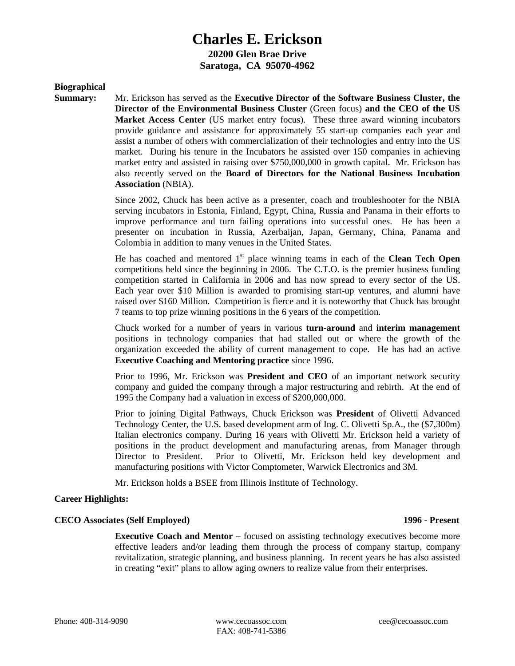# **Charles E. Erickson 20200 Glen Brae Drive Saratoga, CA 95070-4962**

### **Biographical**

**Summary:** Mr. Erickson has served as the **Executive Director of the Software Business Cluster, the Director of the Environmental Business Cluster** (Green focus) **and the CEO of the US Market Access Center** (US market entry focus). These three award winning incubators provide guidance and assistance for approximately 55 start-up companies each year and assist a number of others with commercialization of their technologies and entry into the US market. During his tenure in the Incubators he assisted over 150 companies in achieving market entry and assisted in raising over \$750,000,000 in growth capital. Mr. Erickson has also recently served on the **Board of Directors for the National Business Incubation Association** (NBIA).

> Since 2002, Chuck has been active as a presenter, coach and troubleshooter for the NBIA serving incubators in Estonia, Finland, Egypt, China, Russia and Panama in their efforts to improve performance and turn failing operations into successful ones. He has been a presenter on incubation in Russia, Azerbaijan, Japan, Germany, China, Panama and Colombia in addition to many venues in the United States.

> He has coached and mentored  $1<sup>st</sup>$  place winning teams in each of the **Clean Tech Open** competitions held since the beginning in 2006. The C.T.O. is the premier business funding competition started in California in 2006 and has now spread to every sector of the US. Each year over \$10 Million is awarded to promising start-up ventures, and alumni have raised over \$160 Million. Competition is fierce and it is noteworthy that Chuck has brought 7 teams to top prize winning positions in the 6 years of the competition.

> Chuck worked for a number of years in various **turn-around** and **interim management** positions in technology companies that had stalled out or where the growth of the organization exceeded the ability of current management to cope. He has had an active **Executive Coaching and Mentoring practice** since 1996.

> Prior to 1996, Mr. Erickson was **President and CEO** of an important network security company and guided the company through a major restructuring and rebirth. At the end of 1995 the Company had a valuation in excess of \$200,000,000.

> Prior to joining Digital Pathways, Chuck Erickson was **President** of Olivetti Advanced Technology Center, the U.S. based development arm of Ing. C. Olivetti Sp.A., the (\$7,300m) Italian electronics company. During 16 years with Olivetti Mr. Erickson held a variety of positions in the product development and manufacturing arenas, from Manager through Director to President. Prior to Olivetti, Mr. Erickson held key development and manufacturing positions with Victor Comptometer, Warwick Electronics and 3M.

Mr. Erickson holds a BSEE from Illinois Institute of Technology.

# **Career Highlights:**

#### **CECO Associates (Self Employed) 1996 - Present**

**Executive Coach and Mentor –** focused on assisting technology executives become more effective leaders and/or leading them through the process of company startup, company revitalization, strategic planning, and business planning. In recent years he has also assisted in creating "exit" plans to allow aging owners to realize value from their enterprises.